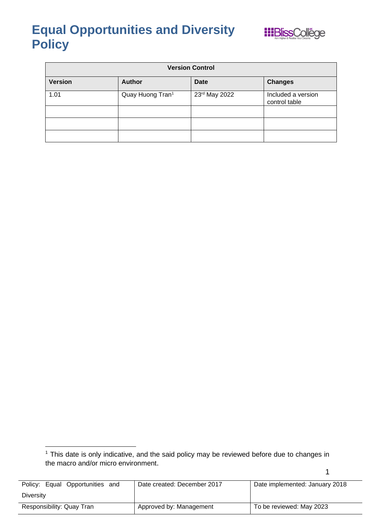

| <b>Version Control</b> |                              |               |                                     |
|------------------------|------------------------------|---------------|-------------------------------------|
| <b>Version</b>         | <b>Author</b>                | <b>Date</b>   | <b>Changes</b>                      |
| 1.01                   | Quay Huong Tran <sup>1</sup> | 23rd May 2022 | Included a version<br>control table |
|                        |                              |               |                                     |
|                        |                              |               |                                     |
|                        |                              |               |                                     |

| Policy: Equal Opportunities<br>and | Date created: December 2017 | Date implemented: January 2018 |
|------------------------------------|-----------------------------|--------------------------------|
| <b>Diversity</b>                   |                             |                                |
| Responsibility: Quay Tran          | Approved by: Management     | To be reviewed: May 2023       |

<sup>&</sup>lt;sup>1</sup> This date is only indicative, and the said policy may be reviewed before due to changes in the macro and/or micro environment.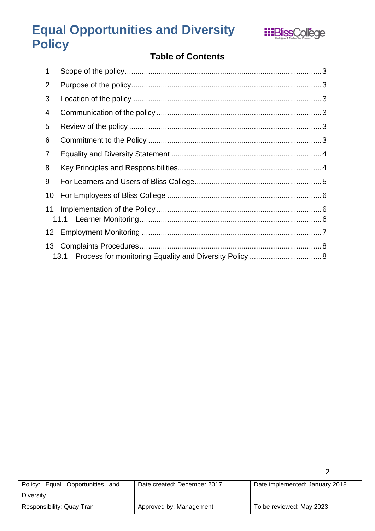

### **Table of Contents**

| 1              |      |  |
|----------------|------|--|
| $\overline{2}$ |      |  |
| 3              |      |  |
| 4              |      |  |
| 5              |      |  |
| 6              |      |  |
| 7              |      |  |
| 8              |      |  |
| 9              |      |  |
| 10             |      |  |
| 11             |      |  |
| 12             |      |  |
| 13             |      |  |
|                | 13.1 |  |

| Policy: Equal Opportunities and | Date created: December 2017 | Date implemented: January 2018 |
|---------------------------------|-----------------------------|--------------------------------|
| Diversity                       |                             |                                |
| Responsibility: Quay Tran       | Approved by: Management     | To be reviewed: May 2023       |

 $\overline{a}$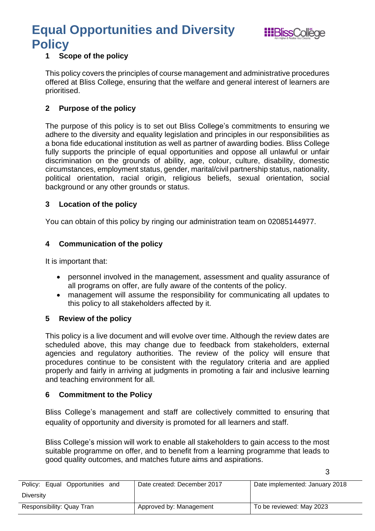

3

#### <span id="page-2-0"></span>**1 Scope of the policy**

This policy covers the principles of course management and administrative procedures offered at Bliss College, ensuring that the welfare and general interest of learners are prioritised.

#### <span id="page-2-1"></span>**2 Purpose of the policy**

The purpose of this policy is to set out Bliss College's commitments to ensuring we adhere to the diversity and equality legislation and principles in our responsibilities as a bona fide educational institution as well as partner of awarding bodies. Bliss College fully supports the principle of equal opportunities and oppose all unlawful or unfair discrimination on the grounds of ability, age, colour, culture, disability, domestic circumstances, employment status, gender, marital/civil partnership status, nationality, political orientation, racial origin, religious beliefs, sexual orientation, social background or any other grounds or status.

#### <span id="page-2-2"></span>**3 Location of the policy**

You can obtain of this policy by ringing our administration team on 02085144977.

#### <span id="page-2-3"></span>**4 Communication of the policy**

It is important that:

- personnel involved in the management, assessment and quality assurance of all programs on offer, are fully aware of the contents of the policy.
- management will assume the responsibility for communicating all updates to this policy to all stakeholders affected by it.

#### <span id="page-2-4"></span>**5 Review of the policy**

This policy is a live document and will evolve over time. Although the review dates are scheduled above, this may change due to feedback from stakeholders, external agencies and regulatory authorities. The review of the policy will ensure that procedures continue to be consistent with the regulatory criteria and are applied properly and fairly in arriving at judgments in promoting a fair and inclusive learning and teaching environment for all.

#### <span id="page-2-5"></span>**6 Commitment to the Policy**

Bliss College's management and staff are collectively committed to ensuring that equality of opportunity and diversity is promoted for all learners and staff.

Bliss College's mission will work to enable all stakeholders to gain access to the most suitable programme on offer, and to benefit from a learning programme that leads to good quality outcomes, and matches future aims and aspirations.

| Policy: Equal Opportunities<br>and | Date created: December 2017 | Date implemented: January 2018 |
|------------------------------------|-----------------------------|--------------------------------|
| Diversity                          |                             |                                |
| Responsibility: Quay Tran          | Approved by: Management     | To be reviewed: May 2023       |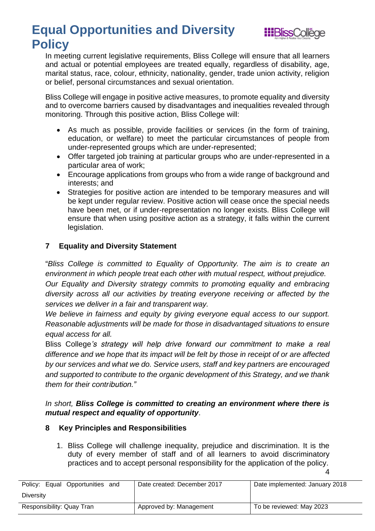

In meeting current legislative requirements, Bliss College will ensure that all learners and actual or potential employees are treated equally, regardless of disability, age, marital status, race, colour, ethnicity, nationality, gender, trade union activity, religion or belief, personal circumstances and sexual orientation.

Bliss College will engage in positive active measures, to promote equality and diversity and to overcome barriers caused by disadvantages and inequalities revealed through monitoring. Through this positive action, Bliss College will:

- As much as possible, provide facilities or services (in the form of training, education, or welfare) to meet the particular circumstances of people from under-represented groups which are under-represented;
- Offer targeted job training at particular groups who are under-represented in a particular area of work;
- Encourage applications from groups who from a wide range of background and interests; and
- Strategies for positive action are intended to be temporary measures and will be kept under regular review. Positive action will cease once the special needs have been met, or if under-representation no longer exists. Bliss College will ensure that when using positive action as a strategy, it falls within the current legislation.

#### <span id="page-3-0"></span>**7 Equality and Diversity Statement**

"*Bliss College is committed to Equality of Opportunity. The aim is to create an environment in which people treat each other with mutual respect, without prejudice. Our Equality and Diversity strategy commits to promoting equality and embracing* 

*diversity across all our activities by treating everyone receiving or affected by the services we deliver in a fair and transparent way.* 

*We believe in fairness and equity by giving everyone equal access to our support. Reasonable adjustments will be made for those in disadvantaged situations to ensure equal access for all.* 

Bliss College*'s strategy will help drive forward our commitment to make a real difference and we hope that its impact will be felt by those in receipt of or are affected by our services and what we do. Service users, staff and key partners are encouraged and supported to contribute to the organic development of this Strategy, and we thank them for their contribution."*

#### *In short, Bliss College is committed to creating an environment where there is mutual respect and equality of opportunity*.

#### <span id="page-3-1"></span>**8 Key Principles and Responsibilities**

4 1. Bliss College will challenge inequality, prejudice and discrimination. It is the duty of every member of staff and of all learners to avoid discriminatory practices and to accept personal responsibility for the application of the policy.

Policy: Equal Opportunities and **Diversity** Date created: December 2017 | Date implemented: January 2018 Responsibility: Quay Tran Approved by: Management To be reviewed: May 2023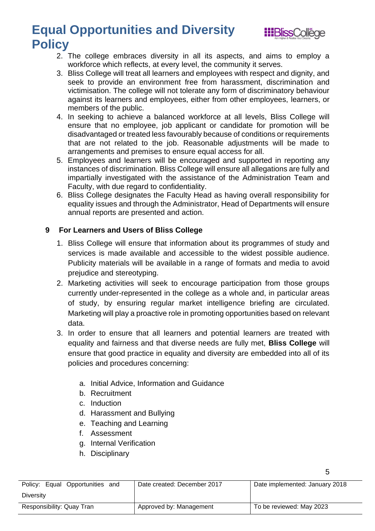

5

- 2. The college embraces diversity in all its aspects, and aims to employ a workforce which reflects, at every level, the community it serves.
- 3. Bliss College will treat all learners and employees with respect and dignity, and seek to provide an environment free from harassment, discrimination and victimisation. The college will not tolerate any form of discriminatory behaviour against its learners and employees, either from other employees, learners, or members of the public.
- 4. In seeking to achieve a balanced workforce at all levels, Bliss College will ensure that no employee, job applicant or candidate for promotion will be disadvantaged or treated less favourably because of conditions or requirements that are not related to the job. Reasonable adjustments will be made to arrangements and premises to ensure equal access for all.
- 5. Employees and learners will be encouraged and supported in reporting any instances of discrimination. Bliss College will ensure all allegations are fully and impartially investigated with the assistance of the Administration Team and Faculty, with due regard to confidentiality.
- 6. Bliss College designates the Faculty Head as having overall responsibility for equality issues and through the Administrator, Head of Departments will ensure annual reports are presented and action.

#### <span id="page-4-0"></span>**9 For Learners and Users of Bliss College**

- 1. Bliss College will ensure that information about its programmes of study and services is made available and accessible to the widest possible audience. Publicity materials will be available in a range of formats and media to avoid prejudice and stereotyping.
- 2. Marketing activities will seek to encourage participation from those groups currently under-represented in the college as a whole and, in particular areas of study, by ensuring regular market intelligence briefing are circulated. Marketing will play a proactive role in promoting opportunities based on relevant data.
- 3. In order to ensure that all learners and potential learners are treated with equality and fairness and that diverse needs are fully met, **Bliss College** will ensure that good practice in equality and diversity are embedded into all of its policies and procedures concerning:
	- a. Initial Advice, Information and Guidance
	- b. Recruitment
	- c. Induction
	- d. Harassment and Bullying
	- e. Teaching and Learning
	- f. Assessment
	- g. Internal Verification
	- h. Disciplinary

| Policy: Equal Opportunities and | Date created: December 2017 | Date implemented: January 2018 |
|---------------------------------|-----------------------------|--------------------------------|
| Diversity                       |                             |                                |
| Responsibility: Quay Tran       | Approved by: Management     | To be reviewed: May 2023       |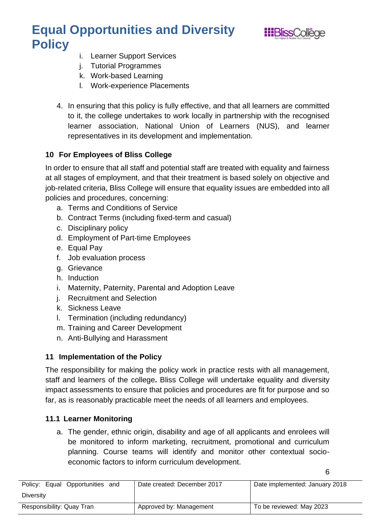

6

- i. Learner Support Services
- j. Tutorial Programmes
- k. Work-based Learning
- l. Work-experience Placements
- 4. In ensuring that this policy is fully effective, and that all learners are committed to it, the college undertakes to work locally in partnership with the recognised learner association, National Union of Learners (NUS), and learner representatives in its development and implementation.

#### <span id="page-5-0"></span>**10 For Employees of Bliss College**

In order to ensure that all staff and potential staff are treated with equality and fairness at all stages of employment, and that their treatment is based solely on objective and job-related criteria, Bliss College will ensure that equality issues are embedded into all policies and procedures, concerning:

- a. Terms and Conditions of Service
- b. Contract Terms (including fixed-term and casual)
- c. Disciplinary policy
- d. Employment of Part-time Employees
- e. Equal Pay
- f. Job evaluation process
- g. Grievance
- h. Induction
- i. Maternity, Paternity, Parental and Adoption Leave
- j. Recruitment and Selection
- k. Sickness Leave
- l. Termination (including redundancy)
- m. Training and Career Development
- n. Anti-Bullying and Harassment

#### <span id="page-5-1"></span>**11 Implementation of the Policy**

The responsibility for making the policy work in practice rests with all management, staff and learners of the college**.** Bliss College will undertake equality and diversity impact assessments to ensure that policies and procedures are fit for purpose and so far, as is reasonably practicable meet the needs of all learners and employees.

#### <span id="page-5-2"></span>**11.1 Learner Monitoring**

a. The gender, ethnic origin, disability and age of all applicants and enrolees will be monitored to inform marketing, recruitment, promotional and curriculum planning. Course teams will identify and monitor other contextual socioeconomic factors to inform curriculum development.

| Policy: Equal Opportunities and | Date created: December 2017 | Date implemented: January 2018 |
|---------------------------------|-----------------------------|--------------------------------|
| Diversity                       |                             |                                |
| Responsibility: Quay Tran       | Approved by: Management     | To be reviewed: May 2023       |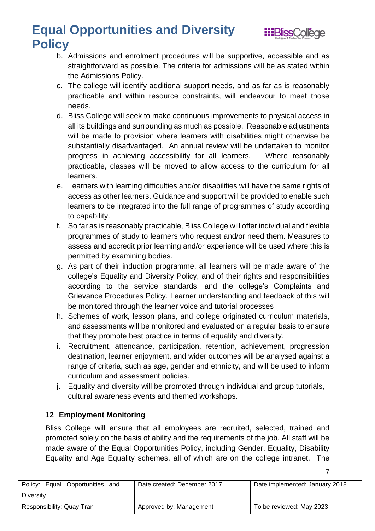

7

- b. Admissions and enrolment procedures will be supportive, accessible and as straightforward as possible. The criteria for admissions will be as stated within the Admissions Policy.
- c. The college will identify additional support needs, and as far as is reasonably practicable and within resource constraints, will endeavour to meet those needs.
- d. Bliss College will seek to make continuous improvements to physical access in all its buildings and surrounding as much as possible. Reasonable adjustments will be made to provision where learners with disabilities might otherwise be substantially disadvantaged. An annual review will be undertaken to monitor progress in achieving accessibility for all learners. Where reasonably practicable, classes will be moved to allow access to the curriculum for all learners.
- e. Learners with learning difficulties and/or disabilities will have the same rights of access as other learners. Guidance and support will be provided to enable such learners to be integrated into the full range of programmes of study according to capability.
- f. So far as is reasonably practicable, Bliss College will offer individual and flexible programmes of study to learners who request and/or need them. Measures to assess and accredit prior learning and/or experience will be used where this is permitted by examining bodies.
- g. As part of their induction programme, all learners will be made aware of the college's Equality and Diversity Policy, and of their rights and responsibilities according to the service standards, and the college's Complaints and Grievance Procedures Policy. Learner understanding and feedback of this will be monitored through the learner voice and tutorial processes
- h. Schemes of work, lesson plans, and college originated curriculum materials, and assessments will be monitored and evaluated on a regular basis to ensure that they promote best practice in terms of equality and diversity.
- i. Recruitment, attendance, participation, retention, achievement, progression destination, learner enjoyment, and wider outcomes will be analysed against a range of criteria, such as age, gender and ethnicity, and will be used to inform curriculum and assessment policies.
- j. Equality and diversity will be promoted through individual and group tutorials, cultural awareness events and themed workshops.

#### <span id="page-6-0"></span>**12 Employment Monitoring**

Bliss College will ensure that all employees are recruited, selected, trained and promoted solely on the basis of ability and the requirements of the job. All staff will be made aware of the Equal Opportunities Policy, including Gender, Equality, Disability Equality and Age Equality schemes, all of which are on the college intranet. The

| Policy: Equal Opportunities and | Date created: December 2017 | Date implemented: January 2018 |
|---------------------------------|-----------------------------|--------------------------------|
| Diversity                       |                             |                                |
| Responsibility: Quay Tran       | Approved by: Management     | To be reviewed: May 2023       |